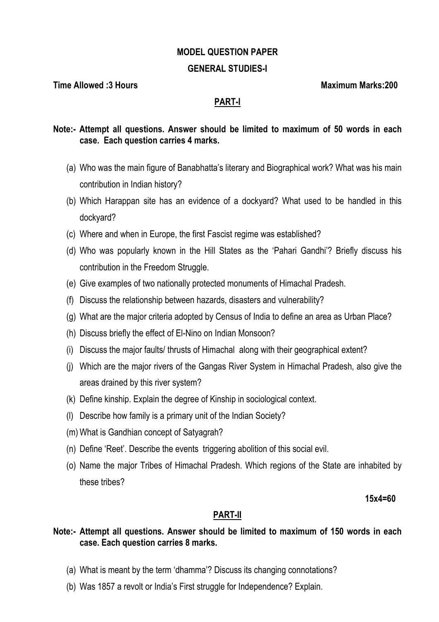#### **MODEL QUESTION PAPER**

#### **GENERAL STUDIES-I**

**Time Allowed :3 Hours Maximum Marks:200**  Maximum Marks:200

### **PART-I**

### **Note:- Attempt all questions. Answer should be limited to maximum of 50 words in each case. Each question carries 4 marks.**

- (a) Who was the main figure of Banabhatta's literary and Biographical work? What was his main contribution in Indian history?
- (b) Which Harappan site has an evidence of a dockyard? What used to be handled in this dockyard?
- (c) Where and when in Europe, the first Fascist regime was established?
- (d) Who was popularly known in the Hill States as the 'Pahari Gandhi'? Briefly discuss his contribution in the Freedom Struggle.
- (e) Give examples of two nationally protected monuments of Himachal Pradesh.
- (f) Discuss the relationship between hazards, disasters and vulnerability?
- (g) What are the major criteria adopted by Census of India to define an area as Urban Place?
- (h) Discuss briefly the effect of El-Nino on Indian Monsoon?
- (i) Discuss the major faults/ thrusts of Himachal along with their geographical extent?
- (j) Which are the major rivers of the Gangas River System in Himachal Pradesh, also give the areas drained by this river system?
- (k) Define kinship. Explain the degree of Kinship in sociological context.
- (l) Describe how family is a primary unit of the Indian Society?
- (m) What is Gandhian concept of Satyagrah?
- (n) Define 'Reet'. Describe the events triggering abolition of this social evil.
- (o) Name the major Tribes of Himachal Pradesh. Which regions of the State are inhabited by these tribes?

**15x4=60** 

## **PART-II**

### **Note:- Attempt all questions. Answer should be limited to maximum of 150 words in each case. Each question carries 8 marks.**

- (a) What is meant by the term 'dhamma'? Discuss its changing connotations?
- (b) Was 1857 a revolt or India's First struggle for Independence? Explain.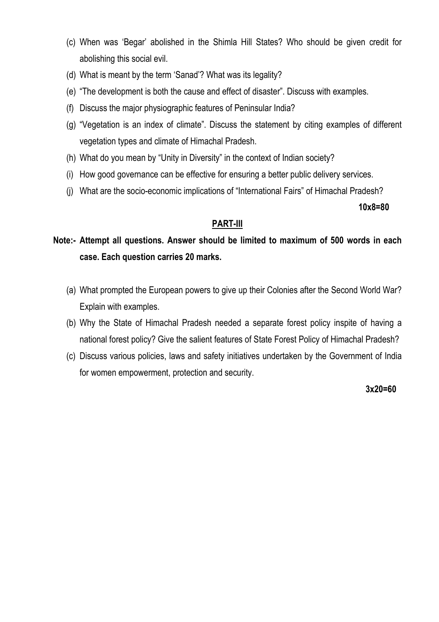- (c) When was 'Begar' abolished in the Shimla Hill States? Who should be given credit for abolishing this social evil.
- (d) What is meant by the term 'Sanad'? What was its legality?
- (e) "The development is both the cause and effect of disaster". Discuss with examples.
- (f) Discuss the major physiographic features of Peninsular India?
- (g) "Vegetation is an index of climate". Discuss the statement by citing examples of different vegetation types and climate of Himachal Pradesh.
- (h) What do you mean by "Unity in Diversity" in the context of Indian society?
- (i) How good governance can be effective for ensuring a better public delivery services.
- (j) What are the socio-economic implications of "International Fairs" of Himachal Pradesh?

**10x8=80** 

### **PART-III**

**Note:- Attempt all questions. Answer should be limited to maximum of 500 words in each case. Each question carries 20 marks.** 

- (a) What prompted the European powers to give up their Colonies after the Second World War? Explain with examples.
- (b) Why the State of Himachal Pradesh needed a separate forest policy inspite of having a national forest policy? Give the salient features of State Forest Policy of Himachal Pradesh?
- (c) Discuss various policies, laws and safety initiatives undertaken by the Government of India for women empowerment, protection and security.

 **3x20=60**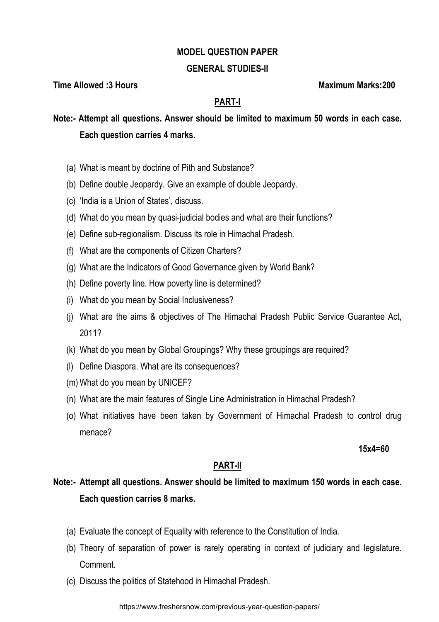#### **MODEL QUESTION PAPER**

#### **GENERAL STUDIES-II**

**Time Allowed :3 Hours Maximum Marks:200** 

## **PART-I**

**Note:- Attempt all questions. Answer should be limited to maximum 50 words in each case. Each question carries 4 marks.** 

- (a) What is meant by doctrine of Pith and Substance?
- (b) Define double Jeopardy. Give an example of double Jeopardy.
- (c) 'India is a Union of States', discuss.
- (d) What do you mean by quasi-judicial bodies and what are their functions?
- (e) Define sub-regionalism. Discuss its role in Himachal Pradesh.
- (f) What are the components of Citizen Charters?
- (g) What are the Indicators of Good Governance given by World Bank?
- (h) Define poverty line. How poverty line is determined?
- (i) What do you mean by Social Inclusiveness?
- (j) What are the aims & objectives of The Himachal Pradesh Public Service Guarantee Act, 2011?
- (k) What do you mean by Global Groupings? Why these groupings are required?
- (l) Define Diaspora. What are its consequences?
- (m) What do you mean by UNICEF?
- (n) What are the main features of Single Line Administration in Himachal Pradesh?
- (o) What initiatives have been taken by Government of Himachal Pradesh to control drug menace?

 **15x4=60** 

#### **PART-II**

# **Note:- Attempt all questions. Answer should be limited to maximum 150 words in each case. Each question carries 8 marks.**

- (a) Evaluate the concept of Equality with reference to the Constitution of India.
- (b) Theory of separation of power is rarely operating in context of judiciary and legislature. **Comment**
- (c) Discuss the politics of Statehood in Himachal Pradesh.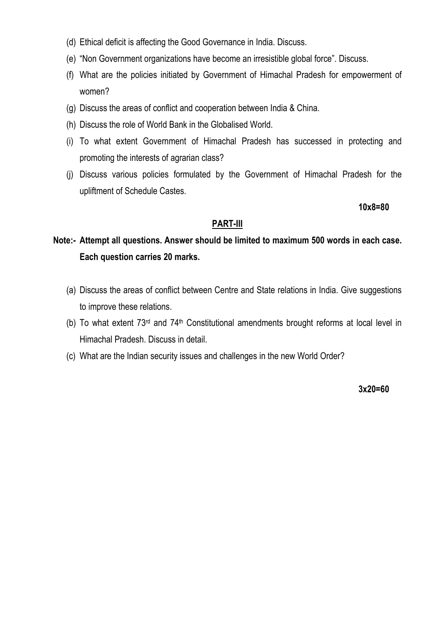- (d) Ethical deficit is affecting the Good Governance in India. Discuss.
- (e) "Non Government organizations have become an irresistible global force". Discuss.
- (f) What are the policies initiated by Government of Himachal Pradesh for empowerment of women?
- (g) Discuss the areas of conflict and cooperation between India & China.
- (h) Discuss the role of World Bank in the Globalised World.
- (i) To what extent Government of Himachal Pradesh has successed in protecting and promoting the interests of agrarian class?
- (j) Discuss various policies formulated by the Government of Himachal Pradesh for the upliftment of Schedule Castes.

**10x8=80** 

## **PART-III**

# **Note:- Attempt all questions. Answer should be limited to maximum 500 words in each case. Each question carries 20 marks.**

- (a) Discuss the areas of conflict between Centre and State relations in India. Give suggestions to improve these relations.
- (b) To what extent 73rd and 74th Constitutional amendments brought reforms at local level in Himachal Pradesh. Discuss in detail.
- (c) What are the Indian security issues and challenges in the new World Order?

**3x20=60**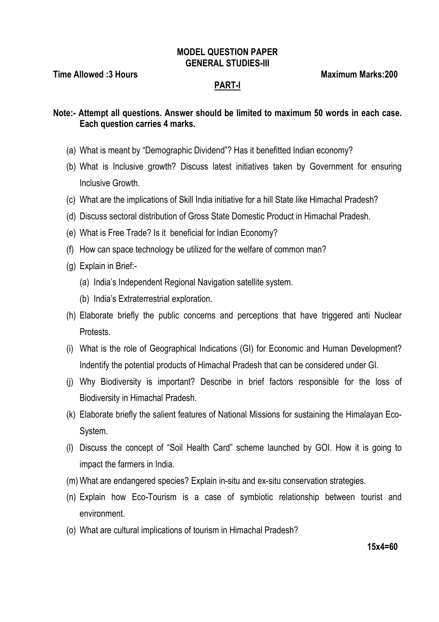#### **MODEL QUESTION PAPER GENERAL STUDIES-III**

**Time Allowed :3 Hours Maximum Marks:200**  Maximum Marks:200

#### **PART-I**

**Note:- Attempt all questions. Answer should be limited to maximum 50 words in each case. Each question carries 4 marks.** 

- (a) What is meant by "Demographic Dividend"? Has it benefitted Indian economy?
- (b) What is Inclusive growth? Discuss latest initiatives taken by Government for ensuring Inclusive Growth.
- (c) What are the implications of Skill India initiative for a hill State like Himachal Pradesh?
- (d) Discuss sectoral distribution of Gross State Domestic Product in Himachal Pradesh.
- (e) What is Free Trade? Is it beneficial for Indian Economy?
- (f) How can space technology be utilized for the welfare of common man?
- (g) Explain in Brief:-
	- (a) India's Independent Regional Navigation satellite system.
	- (b) India's Extraterrestrial exploration.
- (h) Elaborate briefly the public concerns and perceptions that have triggered anti Nuclear Protests.
- (i) What is the role of Geographical Indications (GI) for Economic and Human Development? Indentify the potential products of Himachal Pradesh that can be considered under GI.
- (j) Why Biodiversity is important? Describe in brief factors responsible for the loss of Biodiversity in Himachal Pradesh.
- (k) Elaborate briefly the salient features of National Missions for sustaining the Himalayan Eco-System.
- (l) Discuss the concept of "Soil Health Card" scheme launched by GOI. How it is going to impact the farmers in India.
- (m) What are endangered species? Explain in-situ and ex-situ conservation strategies.
- (n) Explain how Eco-Tourism is a case of symbiotic relationship between tourist and environment.
- (o) What are cultural implications of tourism in Himachal Pradesh?

**15x4=60**